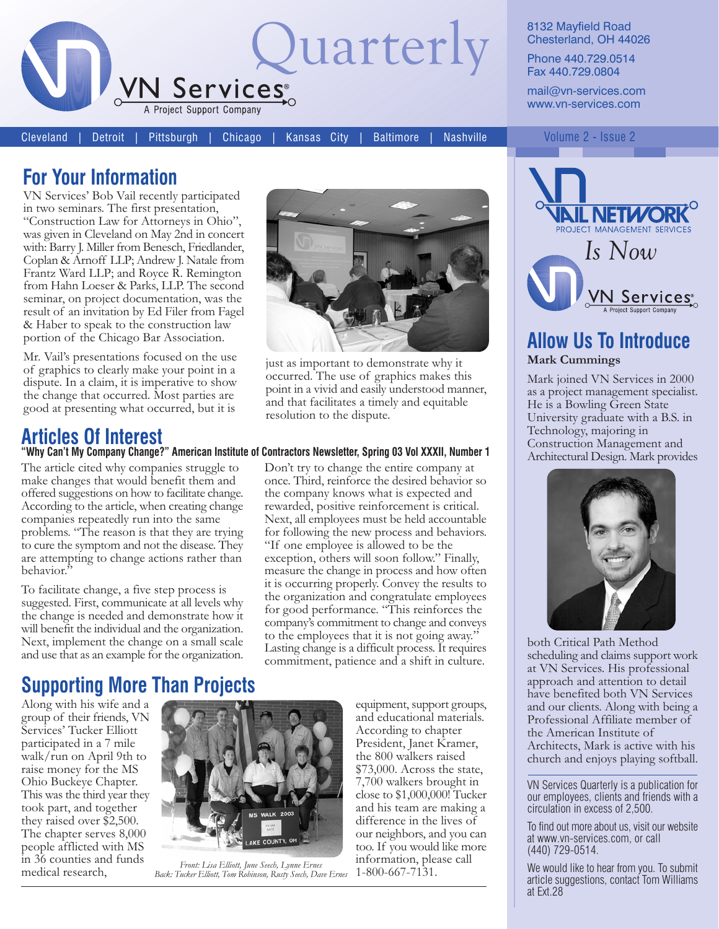

8132 Mayfield Road Chesterland, OH 44026

Phone 440.729.0514 Fax 440.729.0804

mail@vn-services.com www.vn-services.com

**Cleveland Detroit** 

Chicago Pittsburgh

**Baltimore** 

Kansas City

**Nashville** 

#### Volume 2 - Issue 2

### **For Your Information**

VN Services' Bob Vail recently participated in two seminars. The first presentation, "Construction Law for Attorneys in Ohio" was given in Cleveland on May 2nd in concert with: Barry J. Miller from Benesch, Friedlander, Coplan & Arnoff LLP; Andrew J. Natale from Frantz Ward LLP; and Royce R. Remington from Hahn Loeser & Parks, LLP. The second seminar, on project documentation, was the result of an invitation by Ed Filer from Fagel & Haber to speak to the construction law portion of the Chicago Bar Association.

Mr. Vail's presentations focused on the use of graphics to clearly make your point in a dispute. In a claim, it is imperative to show the change that occurred. Most parties are good at presenting what occurred, but it is

# **Articles Of Interest**

The article cited why companies struggle to make changes that would benefit them and offered suggestions on how to facilitate change. According to the article, when creating change companies repeatedly run into the same problems. "The reason is that they are trying to cure the symptom and not the disease. They are attempting to change actions rather than behavior.

To facilitate change, a five step process is suggested. First, communicate at all levels why the change is needed and demonstrate how it will benefit the individual and the organization. Next, implement the change on a small scale and use that as an example for the organization.



just as important to demonstrate why it occurred. The use of graphics makes this point in a vivid and easily understood manner, and that facilitates a timely and equitable resolution to the dispute.

#### "Why Can't My Company Change?" American Institute of Contractors Newsletter, Spring 03 Vol XXXII, Number 1

Don't try to change the entire company at once. Third, reinforce the desired behavior so the company knows what is expected and rewarded, positive reinforcement is critical. Next, all employees must be held accountable for following the new process and behaviors. "If one employee is allowed to be the exception, others will soon follow." Finally, measure the change in process and how often it is occurring properly. Convey the results to the organization and congratulate employees for good performance. "This reinforces the company's commitment to change and conveys to the employees that it is not going away." Lasting change is a difficult process. It requires commitment, patience and a shift in culture.

## **Supporting More Than Projects**

Along with his wife and a group of their friends, VN Services' Tucker Elliott participated in a 7 mile walk/run on April 9th to raise money for the MS Ohio Buckeye Chapter. This was the third year they took part, and together they raised over \$2,500. The chapter serves 8,000 people afflicted with MS in 36 counties and funds medical research,



Front: Lisa Elliott, June Seech, Lynne Ernes<br>Back: Tucker Elliott, Tom Robinson, Rusty Seech, Dave Ernes

equipment, support groups, and educational materials. According to chapter President, Janet Kramer, the 800 walkers raised \$73,000. Across the state, 7,700 walkers brought in close to \$1,000,000! Tucker and his team are making a difference in the lives of our neighbors, and you can too. If you would like more information, please call  $1-800-667-7131.$ 



#### **Allow Us To Introduce Mark Cummings**

Mark joined VN Services in 2000 as a project management specialist. He is a Bowling Green State University graduate with a B.S. in Technology, majoring in Construction Management and Architectural Design. Mark provides



both Critical Path Method scheduling and claims support work at VN Services. His professional approach and attention to detail have benefited both VN Services and our clients. Along with being a Professional Affiliate member of the American Institute of Architects, Mark is active with his church and enjoys playing softball.

VN Services Quarterly is a publication for our employees, clients and friends with a circulation in excess of 2,500.

To find out more about us, visit our website at www.vn-services.com, or call (440) 729-0514.

We would like to hear from you. To submit article suggestions, contact Tom Williams at Ext.28